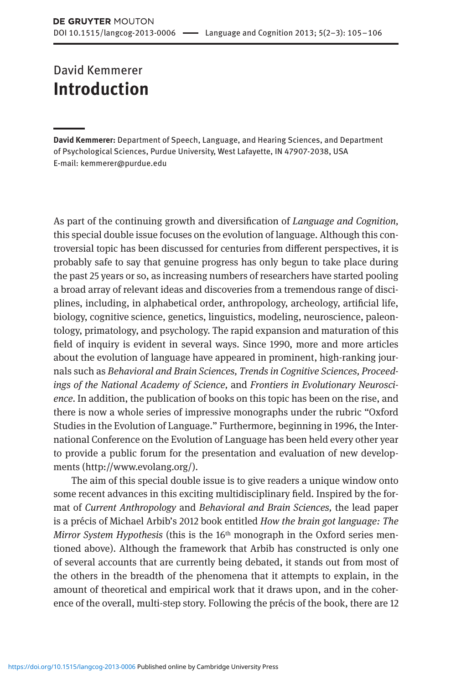## David Kemmerer **Introduction**

**David Kemmerer:** Department of Speech, Language, and Hearing Sciences, and Department of Psychological Sciences, Purdue University, West Lafayette, IN 47907-2038, USA E-mail: kemmerer@purdue.edu

As part of the continuing growth and diversification of *Language and Cognition,*  this special double issue focuses on the evolution of language. Although this controversial topic has been discussed for centuries from different perspectives, it is probably safe to say that genuine progress has only begun to take place during the past 25 years or so, as increasing numbers of researchers have started pooling a broad array of relevant ideas and discoveries from a tremendous range of disciplines, including, in alphabetical order, anthropology, archeology, artificial life, biology, cognitive science, genetics, linguistics, modeling, neuroscience, paleontology, primatology, and psychology. The rapid expansion and maturation of this field of inquiry is evident in several ways. Since 1990, more and more articles about the evolution of language have appeared in prominent, high-ranking journals such as *Behavioral and Brain Sciences, Trends in Cognitive Sciences, Proceedings of the National Academy of Science,* and *Frontiers in Evolutionary Neuroscience.* In addition, the publication of books on this topic has been on the rise, and there is now a whole series of impressive monographs under the rubric "Oxford Studies in the Evolution of Language." Furthermore, beginning in 1996, the International Conference on the Evolution of Language has been held every other year to provide a public forum for the presentation and evaluation of new developments [\(http://www.evolang.org/\)](http://www.evolang.org/).

The aim of this special double issue is to give readers a unique window onto some recent advances in this exciting multidisciplinary field. Inspired by the format of *Current Anthropology* and *Behavioral and Brain Sciences,* the lead paper is a précis of Michael Arbib's 2012 book entitled *How the brain got language: The Mirror System Hypothesis* (this is the 16th monograph in the Oxford series mentioned above). Although the framework that Arbib has constructed is only one of several accounts that are currently being debated, it stands out from most of the others in the breadth of the phenomena that it attempts to explain, in the amount of theoretical and empirical work that it draws upon, and in the coherence of the overall, multi-step story. Following the précis of the book, there are 12